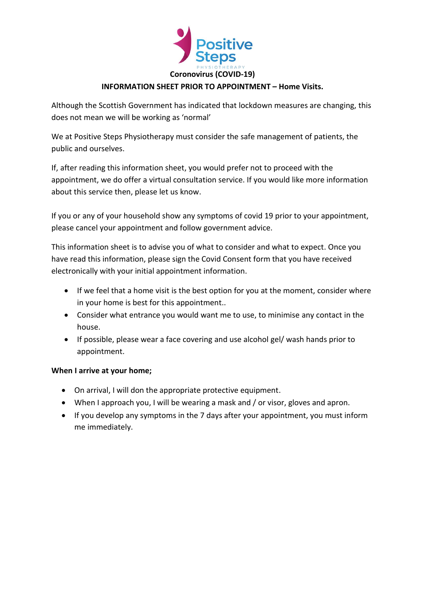

## **INFORMATION SHEET PRIOR TO APPOINTMENT – Home Visits.**

Although the Scottish Government has indicated that lockdown measures are changing, this does not mean we will be working as 'normal'

We at Positive Steps Physiotherapy must consider the safe management of patients, the public and ourselves.

If, after reading this information sheet, you would prefer not to proceed with the appointment, we do offer a virtual consultation service. If you would like more information about this service then, please let us know.

If you or any of your household show any symptoms of covid 19 prior to your appointment, please cancel your appointment and follow government advice.

This information sheet is to advise you of what to consider and what to expect. Once you have read this information, please sign the Covid Consent form that you have received electronically with your initial appointment information.

- If we feel that a home visit is the best option for you at the moment, consider where in your home is best for this appointment..
- Consider what entrance you would want me to use, to minimise any contact in the house.
- If possible, please wear a face covering and use alcohol gel/ wash hands prior to appointment.

## **When I arrive at your home;**

- On arrival, I will don the appropriate protective equipment.
- When I approach you, I will be wearing a mask and / or visor, gloves and apron.
- If you develop any symptoms in the 7 days after your appointment, you must inform me immediately.